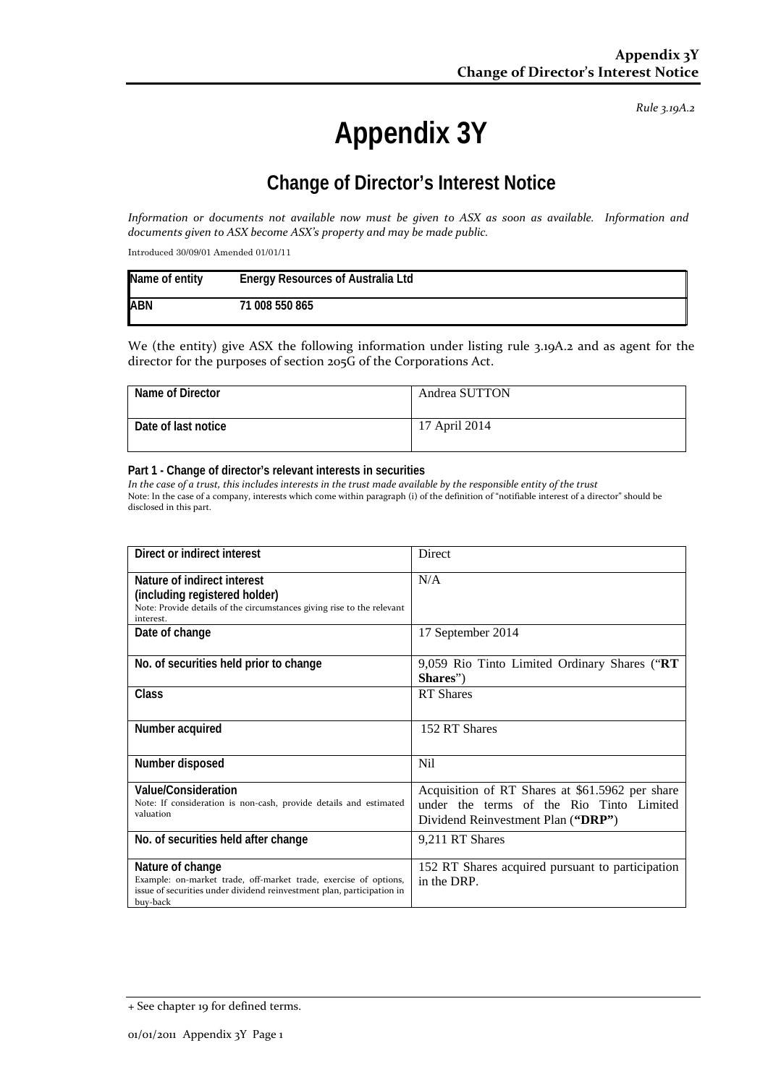*Rule 3.19A.2*

# **Appendix 3Y**

# **Change of Director's Interest Notice**

*Information or documents not available now must be given to ASX as soon as available. Information and documents given to ASX become ASX's property and may be made public.*

Introduced 30/09/01 Amended 01/01/11

| Name of entity | <b>Energy Resources of Australia Ltd</b> |
|----------------|------------------------------------------|
| <b>ABN</b>     | 71 008 550 865                           |

We (the entity) give ASX the following information under listing rule 3.19A.2 and as agent for the director for the purposes of section 205G of the Corporations Act.

| Name of Director    | Andrea SUTTON |
|---------------------|---------------|
| Date of last notice | 17 April 2014 |

#### **Part 1 - Change of director's relevant interests in securities**

*In the case of a trust, this includes interests in the trust made available by the responsible entity of the trust* Note: In the case of a company, interests which come within paragraph (i) of the definition of "notifiable interest of a director" should be disclosed in this part.

| Direct or indirect interest                                                                                                                                                | <b>Direct</b>                                                                                                                     |
|----------------------------------------------------------------------------------------------------------------------------------------------------------------------------|-----------------------------------------------------------------------------------------------------------------------------------|
| Nature of indirect interest<br>(including registered holder)<br>Note: Provide details of the circumstances giving rise to the relevant<br>interest.                        | N/A                                                                                                                               |
| Date of change                                                                                                                                                             | 17 September 2014                                                                                                                 |
| No. of securities held prior to change                                                                                                                                     | 9,059 Rio Tinto Limited Ordinary Shares ("RT<br>Shares")                                                                          |
| Class                                                                                                                                                                      | <b>RT</b> Shares                                                                                                                  |
| Number acquired                                                                                                                                                            | 152 RT Shares                                                                                                                     |
| Number disposed                                                                                                                                                            | <b>Nil</b>                                                                                                                        |
| <b>Value/Consideration</b><br>Note: If consideration is non-cash, provide details and estimated<br>valuation                                                               | Acquisition of RT Shares at \$61.5962 per share<br>under the terms of the Rio Tinto Limited<br>Dividend Reinvestment Plan ("DRP") |
| No. of securities held after change                                                                                                                                        | 9,211 RT Shares                                                                                                                   |
| Nature of change<br>Example: on-market trade, off-market trade, exercise of options,<br>issue of securities under dividend reinvestment plan, participation in<br>buy-back | 152 RT Shares acquired pursuant to participation<br>in the DRP.                                                                   |

<sup>+</sup> See chapter 19 for defined terms.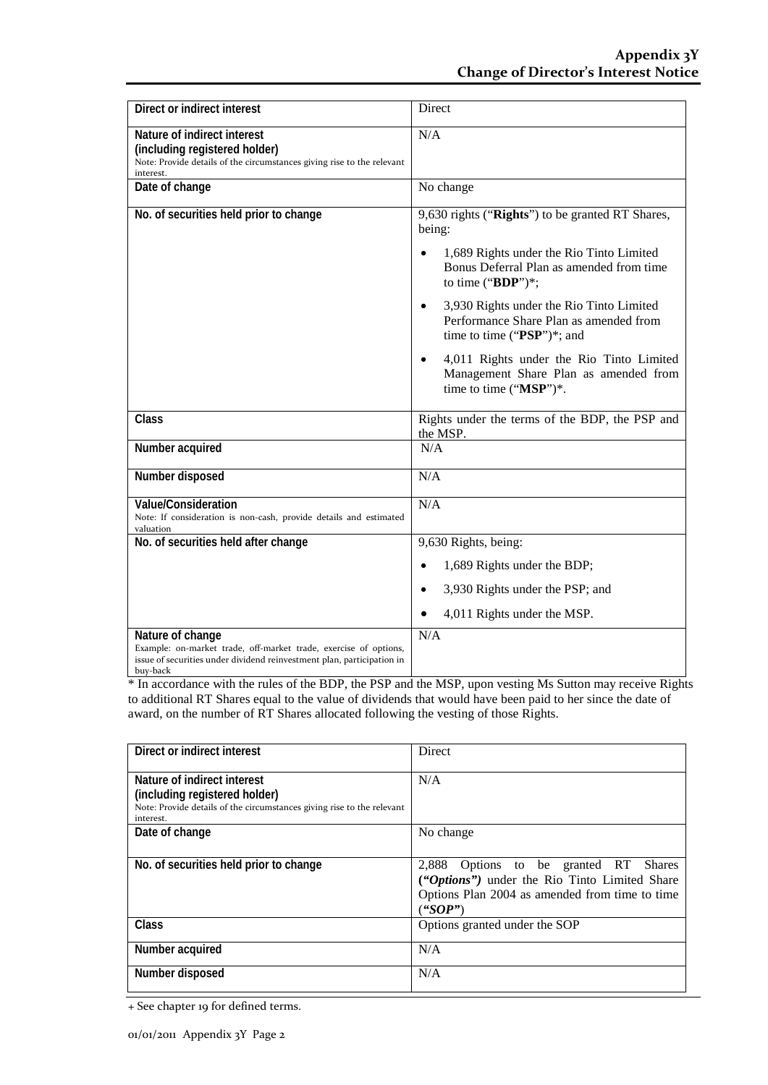| Direct or indirect interest                                                                                                                                                | Direct                                                                                                                                                                                                                                                                                                                                                                                                                                                |
|----------------------------------------------------------------------------------------------------------------------------------------------------------------------------|-------------------------------------------------------------------------------------------------------------------------------------------------------------------------------------------------------------------------------------------------------------------------------------------------------------------------------------------------------------------------------------------------------------------------------------------------------|
| Nature of indirect interest<br>(including registered holder)<br>Note: Provide details of the circumstances giving rise to the relevant<br>interest.                        | N/A                                                                                                                                                                                                                                                                                                                                                                                                                                                   |
| Date of change                                                                                                                                                             | No change                                                                                                                                                                                                                                                                                                                                                                                                                                             |
| No. of securities held prior to change                                                                                                                                     | 9,630 rights ("Rights") to be granted RT Shares,<br>being:<br>1,689 Rights under the Rio Tinto Limited<br>$\bullet$<br>Bonus Deferral Plan as amended from time<br>to time (" $BDP$ ")*;<br>3,930 Rights under the Rio Tinto Limited<br>$\bullet$<br>Performance Share Plan as amended from<br>time to time ("PSP")*; and<br>4,011 Rights under the Rio Tinto Limited<br>$\bullet$<br>Management Share Plan as amended from<br>time to time ("MSP")*. |
| Class                                                                                                                                                                      | Rights under the terms of the BDP, the PSP and<br>the MSP.                                                                                                                                                                                                                                                                                                                                                                                            |
| Number acquired                                                                                                                                                            | N/A                                                                                                                                                                                                                                                                                                                                                                                                                                                   |
| Number disposed                                                                                                                                                            | N/A                                                                                                                                                                                                                                                                                                                                                                                                                                                   |
| <b>Value/Consideration</b><br>Note: If consideration is non-cash, provide details and estimated<br>valuation                                                               | N/A                                                                                                                                                                                                                                                                                                                                                                                                                                                   |
| No. of securities held after change                                                                                                                                        | 9,630 Rights, being:                                                                                                                                                                                                                                                                                                                                                                                                                                  |
|                                                                                                                                                                            | 1,689 Rights under the BDP;<br>$\bullet$                                                                                                                                                                                                                                                                                                                                                                                                              |
|                                                                                                                                                                            | 3,930 Rights under the PSP; and<br>$\bullet$                                                                                                                                                                                                                                                                                                                                                                                                          |
|                                                                                                                                                                            | 4,011 Rights under the MSP.                                                                                                                                                                                                                                                                                                                                                                                                                           |
| Nature of change<br>Example: on-market trade, off-market trade, exercise of options,<br>issue of securities under dividend reinvestment plan, participation in<br>buy-back | N/A                                                                                                                                                                                                                                                                                                                                                                                                                                                   |

\* In accordance with the rules of the BDP, the PSP and the MSP, upon vesting Ms Sutton may receive Rights to additional RT Shares equal to the value of dividends that would have been paid to her since the date of award, on the number of RT Shares allocated following the vesting of those Rights.

| Direct or indirect interest                                                                                                                         | Direct                                                                                                                                                        |
|-----------------------------------------------------------------------------------------------------------------------------------------------------|---------------------------------------------------------------------------------------------------------------------------------------------------------------|
| Nature of indirect interest<br>(including registered holder)<br>Note: Provide details of the circumstances giving rise to the relevant<br>interest. | N/A                                                                                                                                                           |
| Date of change                                                                                                                                      | No change                                                                                                                                                     |
| No. of securities held prior to change                                                                                                              | 2,888 Options to be granted RT Shares<br><i>("Options")</i> under the Rio Tinto Limited Share<br>Options Plan 2004 as amended from time to time<br>$($ "SOP") |
| Class                                                                                                                                               | Options granted under the SOP                                                                                                                                 |
| Number acquired                                                                                                                                     | N/A                                                                                                                                                           |
| Number disposed                                                                                                                                     | N/A                                                                                                                                                           |

+ See chapter 19 for defined terms.